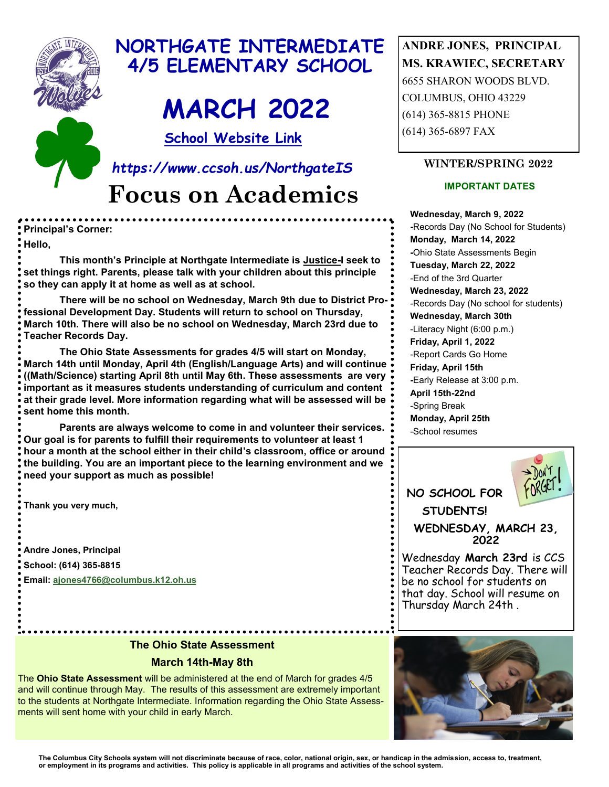

# **NORTHGATE INTERMEDIATE 4/5 ELEMENTARY SCHOOL**

# **MARCH 2022**

**School Website Link** 

**Focus on Academics** *https://www.ccsoh.us/NorthgateIS*

**Principal's Corner: Hello,**

**This month's Principle at Northgate Intermediate is Justice-I seek to set things right. Parents, please talk with your children about this principle so they can apply it at home as well as at school.** 

**There will be no school on Wednesday, March 9th due to District Professional Development Day. Students will return to school on Thursday, March 10th. There will also be no school on Wednesday, March 23rd due to Teacher Records Day.** 

**The Ohio State Assessments for grades 4/5 will start on Monday, March 14th until Monday, April 4th (English/Language Arts) and will continue ((Math/Science) starting April 8th until May 6th. These assessments are very important as it measures students understanding of curriculum and content at their grade level. More information regarding what will be assessed will be sent home this month.** 

**Parents are always welcome to come in and volunteer their services. Our goal is for parents to fulfill their requirements to volunteer at least 1 hour a month at the school either in their child's classroom, office or around the building. You are an important piece to the learning environment and we need your support as much as possible!**

**Thank you very much,**

**Andre Jones, Principal School: (614) 365-8815 Email: [ajones4766@columbus.k12.oh.us](mailto:ajones4766@columbus.k12.oh.us)** **ANDRE JONES, PRINCIPAL MS. KRAWIEC, SECRETARY** 6655 SHARON WOODS BLVD. COLUMBUS, OHIO 43229 (614) 365-8815 PHONE (614) 365-6897 FAX

#### **WINTER/SPRING 2022**

#### **IMPORTANT DATES**

**Wednesday, March 9, 2022 -**Records Day (No School for Students) **Monday, March 14, 2022 -**Ohio State Assessments Begin **Tuesday, March 22, 2022** -End of the 3rd Quarter **Wednesday, March 23, 2022** -Records Day (No school for students) **Wednesday, March 30th**  -Literacy Night (6:00 p.m.) **Friday, April 1, 2022** -Report Cards Go Home **Friday, April 15th -**Early Release at 3:00 p.m. **April 15th-22nd**  -Spring Break **Monday, April 25th** -School resumes



Wednesday **March 23rd** is CCS Teacher Records Day. There will be no school for students on that day. School will resume on Thursday March 24th .

#### **The Ohio State Assessment**

#### **March 14th-May 8th**

The **Ohio State Assessment** will be administered at the end of March for grades 4/5 and will continue through May. The results of this assessment are extremely important to the students at Northgate Intermediate. Information regarding the Ohio State Assessments will sent home with your child in early March.

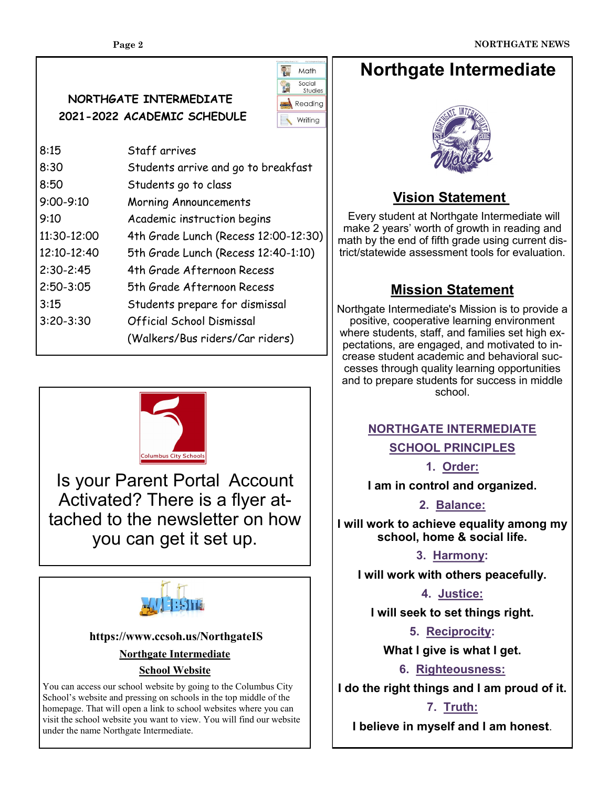**NORTHGATE INTERMEDIATE 2021-2022 ACADEMIC SCHEDULE** 



| 8:15          | Staff arrives                        |  |
|---------------|--------------------------------------|--|
| 8:30          | Students arrive and go to breakfast  |  |
| 8:50          |                                      |  |
| $9:00 - 9:10$ | <b>Morning Announcements</b>         |  |
| 9:10          | Academic instruction begins          |  |
| 11:30-12:00   | 4th Grade Lunch (Recess 12:00-12:30) |  |
| 12:10-12:40   | 5th Grade Lunch (Recess 12:40-1:10)  |  |
| $2:30-2:45$   | 4th Grade Afternoon Recess           |  |
| $2:50 - 3:05$ | 5th Grade Afternoon Recess           |  |
| 3:15          | Students prepare for dismissal       |  |
| $3:20 - 3:30$ | Official School Dismissal            |  |
|               | (Walkers/Bus riders/Car riders)      |  |
|               | Students go to class                 |  |



Is your Parent Portal Account Activated? There is a flyer attached to the newsletter on how you can get it set up.



#### **https://www.ccsoh.us/NorthgateIS**

#### **Northgate Intermediate**

#### **School Website**

You can access our school website by going to the Columbus City School's website and pressing on schools in the top middle of the homepage. That will open a link to school websites where you can visit the school website you want to view. You will find our website under the name Northgate Intermediate.

# **Northgate Intermediate**



# **Vision Statement**

Every student at Northgate Intermediate will make 2 years' worth of growth in reading and math by the end of fifth grade using current district/statewide assessment tools for evaluation.

# **Mission Statement**

Northgate Intermediate's Mission is to provide a positive, cooperative learning environment where students, staff, and families set high expectations, are engaged, and motivated to increase student academic and behavioral successes through quality learning opportunities and to prepare students for success in middle school.

#### **NORTHGATE INTERMEDIATE SCHOOL PRINCIPLES**

**1. Order:**

**I am in control and organized.**

**2. Balance:**

**I will work to achieve equality among my school, home & social life.**

**3. Harmony:**

**I will work with others peacefully.**

**4. Justice:**

**I will seek to set things right.**

**5. Reciprocity:**

**What I give is what I get.**

**6. Righteousness:**

**I do the right things and I am proud of it.**

### **7. Truth:**

**I believe in myself and I am honest**.